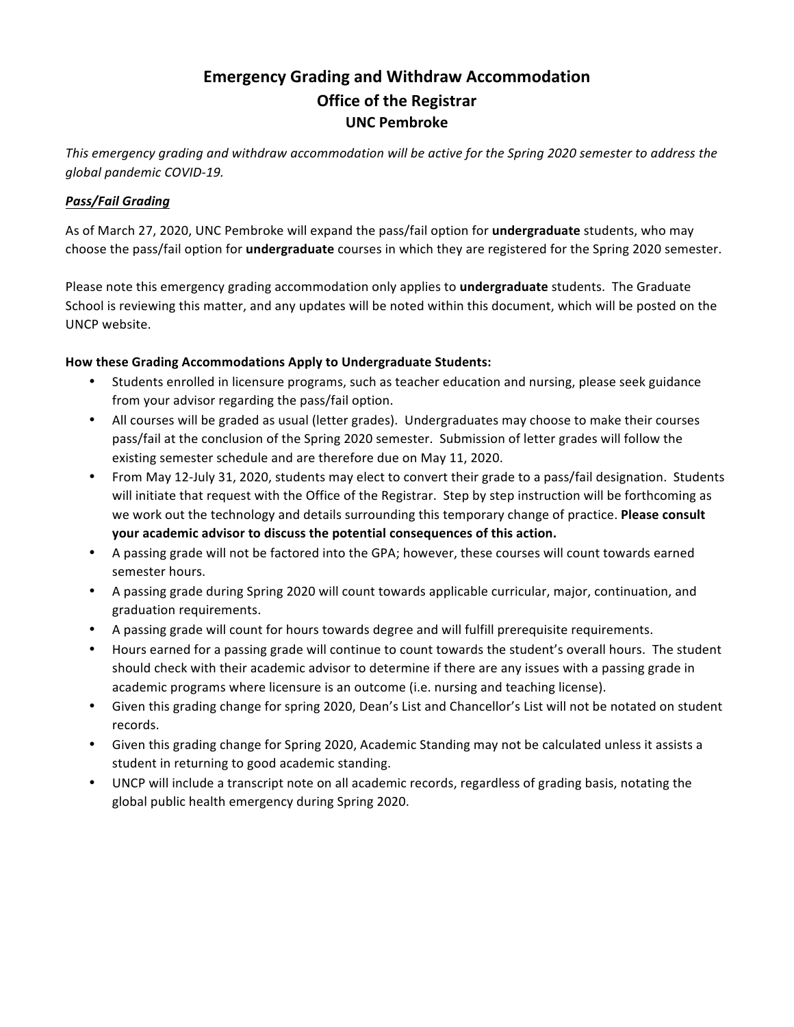# **Emergency Grading and Withdraw Accommodation Office of the Registrar UNC Pembroke**

This emergency grading and withdraw accommodation will be active for the Spring 2020 semester to address the *global pandemic COVID-19.*

## *Pass/Fail Grading*

As of March 27, 2020, UNC Pembroke will expand the pass/fail option for **undergraduate** students, who may choose the pass/fail option for *undergraduate* courses in which they are registered for the Spring 2020 semester.

Please note this emergency grading accommodation only applies to **undergraduate** students. The Graduate School is reviewing this matter, and any updates will be noted within this document, which will be posted on the UNCP website.

## How these Grading Accommodations Apply to Undergraduate Students:

- Students enrolled in licensure programs, such as teacher education and nursing, please seek guidance from your advisor regarding the pass/fail option.
- All courses will be graded as usual (letter grades). Undergraduates may choose to make their courses pass/fail at the conclusion of the Spring 2020 semester. Submission of letter grades will follow the existing semester schedule and are therefore due on May 11, 2020.
- From May 12-July 31, 2020, students may elect to convert their grade to a pass/fail designation. Students will initiate that request with the Office of the Registrar. Step by step instruction will be forthcoming as we work out the technology and details surrounding this temporary change of practice. **Please consult** your academic advisor to discuss the potential consequences of this action.
- A passing grade will not be factored into the GPA; however, these courses will count towards earned semester hours.
- A passing grade during Spring 2020 will count towards applicable curricular, major, continuation, and graduation requirements.
- A passing grade will count for hours towards degree and will fulfill prerequisite requirements.
- Hours earned for a passing grade will continue to count towards the student's overall hours. The student should check with their academic advisor to determine if there are any issues with a passing grade in academic programs where licensure is an outcome (i.e. nursing and teaching license).
- Given this grading change for spring 2020, Dean's List and Chancellor's List will not be notated on student records.
- Given this grading change for Spring 2020, Academic Standing may not be calculated unless it assists a student in returning to good academic standing.
- UNCP will include a transcript note on all academic records, regardless of grading basis, notating the global public health emergency during Spring 2020.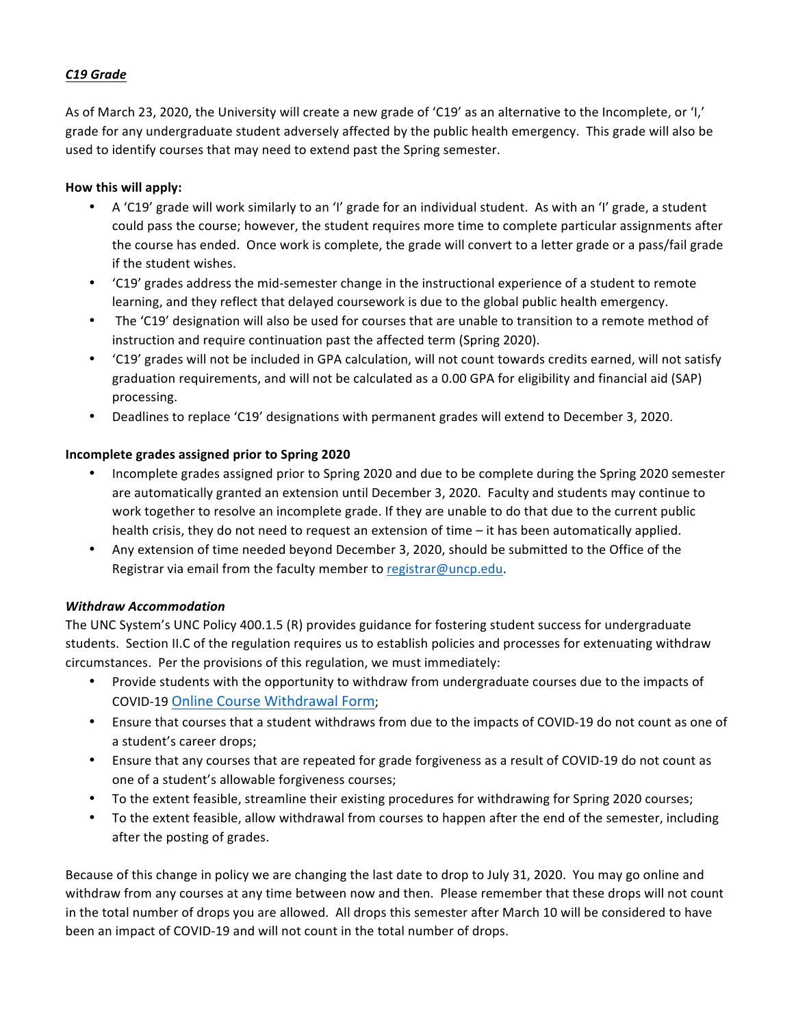# *C19 Grade*

As of March 23, 2020, the University will create a new grade of 'C19' as an alternative to the Incomplete, or 'I,' grade for any undergraduate student adversely affected by the public health emergency. This grade will also be used to identify courses that may need to extend past the Spring semester.

#### **How this will apply:**

- A 'C19' grade will work similarly to an 'I' grade for an individual student. As with an 'I' grade, a student could pass the course; however, the student requires more time to complete particular assignments after the course has ended. Once work is complete, the grade will convert to a letter grade or a pass/fail grade if the student wishes.
- 'C19' grades address the mid-semester change in the instructional experience of a student to remote learning, and they reflect that delayed coursework is due to the global public health emergency.
- The 'C19' designation will also be used for courses that are unable to transition to a remote method of instruction and require continuation past the affected term (Spring 2020).
- 'C19' grades will not be included in GPA calculation, will not count towards credits earned, will not satisfy graduation requirements, and will not be calculated as a 0.00 GPA for eligibility and financial aid (SAP) processing.
- Deadlines to replace 'C19' designations with permanent grades will extend to December 3, 2020.

## **Incomplete grades assigned prior to Spring 2020**

- Incomplete grades assigned prior to Spring 2020 and due to be complete during the Spring 2020 semester are automatically granted an extension until December 3, 2020. Faculty and students may continue to work together to resolve an incomplete grade. If they are unable to do that due to the current public health crisis, they do not need to request an extension of time  $-$  it has been automatically applied.
- Any extension of time needed beyond December 3, 2020, should be submitted to the Office of the Registrar via email from the faculty member to registrar@uncp.edu.

## *Withdraw Accommodation*

The UNC System's UNC Policy 400.1.5 (R) provides guidance for fostering student success for undergraduate students. Section II.C of the regulation requires us to establish policies and processes for extenuating withdraw circumstances. Per the provisions of this regulation, we must immediately:

- Provide students with the opportunity to withdraw from undergraduate courses due to the impacts of COVID-19 Online Course Withdrawal Form;
- Ensure that courses that a student withdraws from due to the impacts of COVID-19 do not count as one of a student's career drops;
- Ensure that any courses that are repeated for grade forgiveness as a result of COVID-19 do not count as one of a student's allowable forgiveness courses;
- To the extent feasible, streamline their existing procedures for withdrawing for Spring 2020 courses;
- To the extent feasible, allow withdrawal from courses to happen after the end of the semester, including after the posting of grades.

Because of this change in policy we are changing the last date to drop to July 31, 2020. You may go online and withdraw from any courses at any time between now and then. Please remember that these drops will not count in the total number of drops you are allowed. All drops this semester after March 10 will be considered to have been an impact of COVID-19 and will not count in the total number of drops.